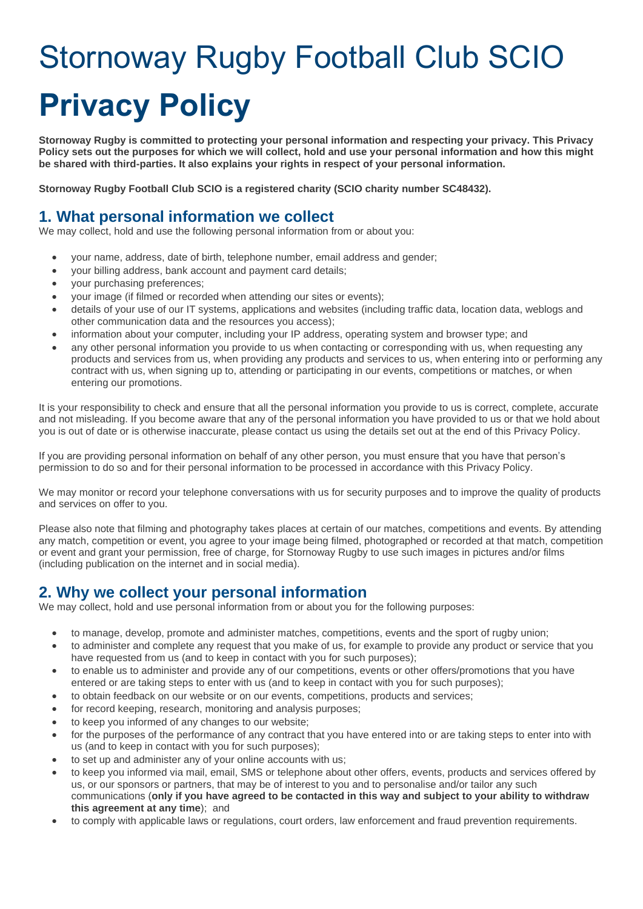# Stornoway Rugby Football Club SCIO **Privacy Policy**

**Stornoway Rugby is committed to protecting your personal information and respecting your privacy. This Privacy Policy sets out the purposes for which we will collect, hold and use your personal information and how this might be shared with third-parties. It also explains your rights in respect of your personal information.**

**Stornoway Rugby Football Club SCIO is a registered charity (SCIO charity number SC48432).**

### **1. What personal information we collect**

We may collect, hold and use the following personal information from or about you:

- your name, address, date of birth, telephone number, email address and gender;
- your billing address, bank account and payment card details;
- your purchasing preferences;
- your image (if filmed or recorded when attending our sites or events);
- details of your use of our IT systems, applications and websites (including traffic data, location data, weblogs and other communication data and the resources you access);
- information about your computer, including your IP address, operating system and browser type; and
- any other personal information you provide to us when contacting or corresponding with us, when requesting any products and services from us, when providing any products and services to us, when entering into or performing any contract with us, when signing up to, attending or participating in our events, competitions or matches, or when entering our promotions.

It is your responsibility to check and ensure that all the personal information you provide to us is correct, complete, accurate and not misleading. If you become aware that any of the personal information you have provided to us or that we hold about you is out of date or is otherwise inaccurate, please contact us using the details set out at the end of this Privacy Policy.

If you are providing personal information on behalf of any other person, you must ensure that you have that person's permission to do so and for their personal information to be processed in accordance with this Privacy Policy.

We may monitor or record your telephone conversations with us for security purposes and to improve the quality of products and services on offer to you.

Please also note that filming and photography takes places at certain of our matches, competitions and events. By attending any match, competition or event, you agree to your image being filmed, photographed or recorded at that match, competition or event and grant your permission, free of charge, for Stornoway Rugby to use such images in pictures and/or films (including publication on the internet and in social media).

# **2. Why we collect your personal information**

We may collect, hold and use personal information from or about you for the following purposes:

- to manage, develop, promote and administer matches, competitions, events and the sport of rugby union;
- to administer and complete any request that you make of us, for example to provide any product or service that you have requested from us (and to keep in contact with you for such purposes);
- to enable us to administer and provide any of our competitions, events or other offers/promotions that you have entered or are taking steps to enter with us (and to keep in contact with you for such purposes);
- to obtain feedback on our website or on our events, competitions, products and services;
- for record keeping, research, monitoring and analysis purposes;
- to keep you informed of any changes to our website;
- for the purposes of the performance of any contract that you have entered into or are taking steps to enter into with us (and to keep in contact with you for such purposes);
- to set up and administer any of your online accounts with us;
- to keep you informed via mail, email, SMS or telephone about other offers, events, products and services offered by us, or our sponsors or partners, that may be of interest to you and to personalise and/or tailor any such communications (only if you have agreed to be contacted in this way and subject to your ability to withdraw **this agreement at any time**); and
- to comply with applicable laws or regulations, court orders, law enforcement and fraud prevention requirements.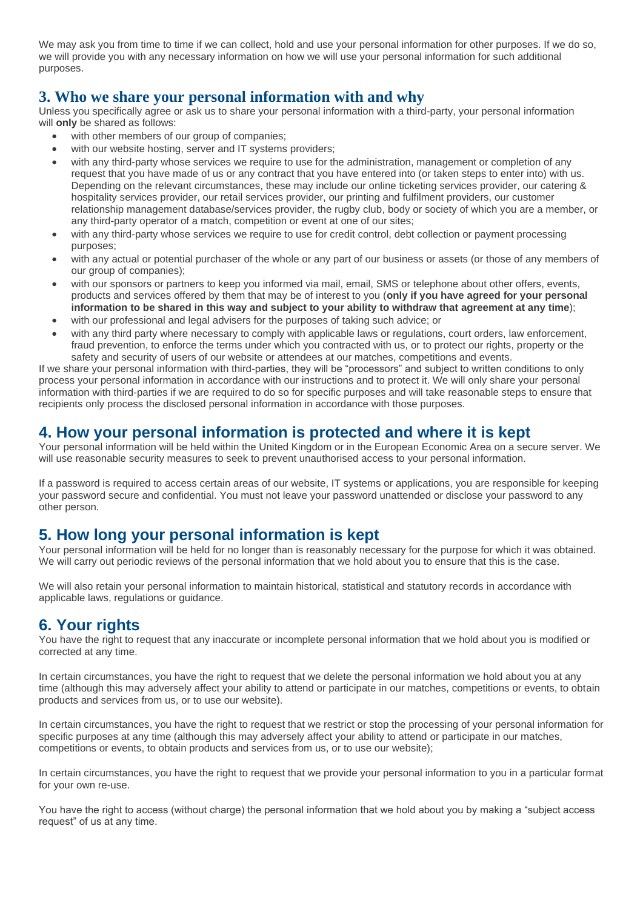We may ask you from time to time if we can collect, hold and use your personal information for other purposes. If we do so, we will provide you with any necessary information on how we will use your personal information for such additional purposes.

## **3. Who we share your personal information with and why**

Unless you specifically agree or ask us to share your personal information with a third-party, your personal information will **only** be shared as follows:

- with other members of our group of companies;
- with our website hosting, server and IT systems providers;
- with any third-party whose services we require to use for the administration, management or completion of any request that you have made of us or any contract that you have entered into (or taken steps to enter into) with us. Depending on the relevant circumstances, these may include our online ticketing services provider, our catering & hospitality services provider, our retail services provider, our printing and fulfilment providers, our customer relationship management database/services provider, the rugby club, body or society of which you are a member, or any third-party operator of a match, competition or event at one of our sites;
- with any third-party whose services we require to use for credit control, debt collection or payment processing purposes;
- with any actual or potential purchaser of the whole or any part of our business or assets (or those of any members of our group of companies);
- with our sponsors or partners to keep you informed via mail, email, SMS or telephone about other offers, events, products and services offered by them that may be of interest to you (**only if you have agreed for your personal** information to be shared in this way and subject to your ability to withdraw that agreement at any time);
- with our professional and legal advisers for the purposes of taking such advice; or
- with any third party where necessary to comply with applicable laws or regulations, court orders, law enforcement, fraud prevention, to enforce the terms under which you contracted with us, or to protect our rights, property or the safety and security of users of our website or attendees at our matches, competitions and events.

If we share your personal information with third-parties, they will be "processors" and subject to written conditions to only process your personal information in accordance with our instructions and to protect it. We will only share your personal information with third-parties if we are required to do so for specific purposes and will take reasonable steps to ensure that recipients only process the disclosed personal information in accordance with those purposes.

# **4. How your personal information is protected and where it is kept**

Your personal information will be held within the United Kingdom or in the European Economic Area on a secure server. We will use reasonable security measures to seek to prevent unauthorised access to your personal information.

If a password is required to access certain areas of our website, IT systems or applications, you are responsible for keeping your password secure and confidential. You must not leave your password unattended or disclose your password to any other person.

# **5. How long your personal information is kept**

Your personal information will be held for no longer than is reasonably necessary for the purpose for which it was obtained. We will carry out periodic reviews of the personal information that we hold about you to ensure that this is the case.

We will also retain your personal information to maintain historical, statistical and statutory records in accordance with applicable laws, regulations or guidance.

# **6. Your rights**

You have the right to request that any inaccurate or incomplete personal information that we hold about you is modified or corrected at any time.

In certain circumstances, you have the right to request that we delete the personal information we hold about you at any time (although this may adversely affect your ability to attend or participate in our matches, competitions or events, to obtain products and services from us, or to use our website).

In certain circumstances, you have the right to request that we restrict or stop the processing of your personal information for specific purposes at any time (although this may adversely affect your ability to attend or participate in our matches, competitions or events, to obtain products and services from us, or to use our website);

In certain circumstances, you have the right to request that we provide your personal information to you in a particular format for your own re-use.

You have the right to access (without charge) the personal information that we hold about you by making a "subject access request" of us at any time.